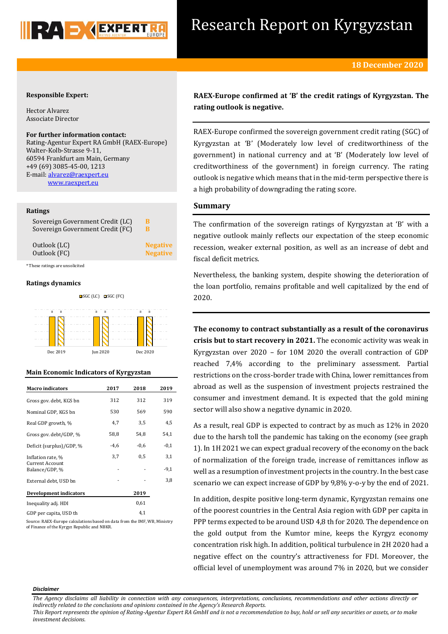

# Research Report on Kyrgyzstan

## **Responsible Expert:**

Hector Alvarez Associate Director

### **For further information contact:**

Rating-Agentur Expert RA GmbH (RAEX-Europe) Walter-Kolb-Strasse 9-11, 60594 Frankfurt am Main, Germany +49 (69) 3085-45-00, 1213 E-mail[: alvarez@raexpert.eu](mailto:alvarez@raexpert.eu) [www.raexpert.eu](http://raexpert.eu/)

### **Ratings**

| Sovereign Government Credit (LC) | В               |  |
|----------------------------------|-----------------|--|
| Sovereign Government Credit (FC) | B               |  |
| Outlook (LC)                     | <b>Negative</b> |  |
| Outlook (FC)                     | <b>Negative</b> |  |
| * These ratings are unsolicited  |                 |  |

### **Ratings dynamics**





### **Main Economic Indicators of Kyrgyzstan**

| <b>Macro</b> indicators                                       | 2017   | 2018   | 2019          |
|---------------------------------------------------------------|--------|--------|---------------|
| Gross gov. debt, KGS bn                                       | 312    | 312    | 319           |
| Nominal GDP, KGS bn                                           | 530    | 569    | 590           |
| Real GDP growth, %                                            | 4,7    | 3,5    | 4,5           |
| Gross gov. debt/GDP, %                                        | 58,8   | 54,8   | 54,1          |
| Deficit (surplus)/GDP, %                                      | $-4,6$ | $-0,6$ | $-0,1$        |
| Inflation rate, %<br><b>Current Account</b><br>Balance/GDP, % | 3,7    | 0,5    | 3,1<br>$-9,1$ |
| External debt, USD bn                                         |        |        | 3,8           |
| <b>Development indicators</b>                                 |        | 2019   |               |
| Inequality adj. HDI                                           |        | 0,61   |               |
| GDP per capita. USD th                                        |        | 4,1    |               |

Source: RAEX-Europe calculations based on data from the IMF, WB, Ministry of Finance of the Kyrgyz Republic and NBKR.

**RAEX-Europe confirmed at 'B' the credit ratings of Kyrgyzstan. The rating outlook is negative.**

RAEX-Europe confirmed the sovereign government credit rating (SGC) of Kyrgyzstan at 'B' (Moderately low level of creditworthiness of the government) in national currency and at 'B' (Moderately low level of creditworthiness of the government) in foreign currency. The rating outlook is negative which means that in the mid-term perspective there is a high probability of downgrading the rating score.

# **Summary**

The confirmation of the sovereign ratings of Kyrgyzstan at 'B' with a negative outlook mainly reflects our expectation of the steep economic recession, weaker external position, as well as an increase of debt and fiscal deficit metrics.

Nevertheless, the banking system, despite showing the deterioration of the loan portfolio, remains profitable and well capitalized by the end of 2020.

**The economy to contract substantially as a result of the coronavirus crisis but to start recovery in 2021.** The economic activity was weak in Kyrgyzstan over 2020 – for 10M 2020 the overall contraction of GDP reached 7,4% according to the preliminary assessment. Partial restrictions on the cross-border trade with China, lower remittances from abroad as well as the suspension of investment projects restrained the consumer and investment demand. It is expected that the gold mining sector will also show a negative dynamic in 2020.

As a result, real GDP is expected to contract by as much as 12% in 2020 due to the harsh toll the pandemic has taking on the economy (see graph 1). In 1H 2021 we can expect gradual recovery of the economy on the back of normalization of the foreign trade, increase of remittances inflow as well as a resumption of investment projects in the country. In the best case scenario we can expect increase of GDP by 9,8% y-o-y by the end of 2021.

In addition, despite positive long-term dynamic, Kyrgyzstan remains one of the poorest countries in the Central Asia region with GDP per capita in PPP terms expected to be around USD 4,8 th for 2020. The dependence on the gold output from the Kumtor mine, keeps the Kyrgyz economy concentration risk high. In addition, political turbulence in 2H 2020 had a negative effect on the country's attractiveness for FDI. Moreover, the official level of unemployment was around 7% in 2020, but we consider

#### *Disclaimer*

*The Agency disclaims all liability in connection with any consequences, interpretations, conclusions, recommendations and other actions directly or indirectly related to the conclusions and opinions contained in the Agency's Research Reports.*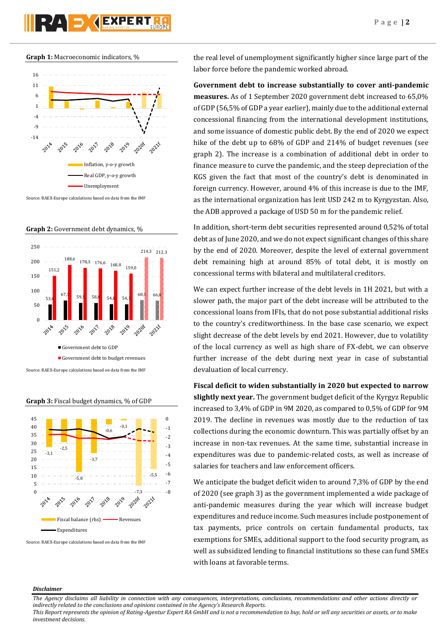



**Graph 2:** Government debt dynamics, %



**Graph 3:** Fiscal budget dynamics, % of GDP



Source: RAEX-Europe calculations based on data from the IMF

the real level of unemployment significantly higher since large part of the labor force before the pandemic worked abroad.

**Government debt to increase substantially to cover anti-pandemic measures.** As of 1 September 2020 government debt increased to 65,0% of GDP (56,5% of GDP a year earlier), mainly due to the additional external concessional financing from the international development institutions, and some issuance of domestic public debt. By the end of 2020 we expect hike of the debt up to 68% of GDP and 214% of budget revenues (see graph 2). The increase is a combination of additional debt in order to finance measure to curve the pandemic, and the steep depreciation of the KGS given the fact that most of the country's debt is denominated in foreign currency. However, around 4% of this increase is due to the IMF, as the international organization has lent USD 242 m to Kyrgyzstan. Also, the ADB approved a package of USD 50 m for the pandemic relief.

In addition, short-term debt securities represented around 0,52% of total debt as of June 2020, and we do not expect significant changes of this share by the end of 2020. Moreover, despite the level of external government debt remaining high at around 85% of total debt, it is mostly on concessional terms with bilateral and multilateral creditors.

We can expect further increase of the debt levels in 1H 2021, but with a slower path, the major part of the debt increase will be attributed to the concessional loans from IFIs, that do not pose substantial additional risks to the country's creditworthiness. In the base case scenario, we expect slight decrease of the debt levels by end 2021. However, due to volatility of the local currency as well as high share of FX-debt, we can observe further increase of the debt during next year in case of substantial devaluation of local currency.

**Fiscal deficit to widen substantially in 2020 but expected to narrow slightly next year.** The government budget deficit of the Kyrgyz Republic increased to 3,4% of GDP in 9M 2020, as compared to 0,5% of GDP for 9M 2019. The decline in revenues was mostly due to the reduction of tax collections during the economic downturn. This was partially offset by an increase in non-tax revenues. At the same time, substantial increase in expenditures was due to pandemic-related costs, as well as increase of salaries for teachers and law enforcement officers.

We anticipate the budget deficit widen to around 7,3% of GDP by the end of 2020 (see graph 3) as the government implemented a wide package of anti-pandemic measures during the year which will increase budget expenditures and reduce income. Such measures include postponement of tax payments, price controls on certain fundamental products, tax exemptions for SMEs, additional support to the food security program, as well as subsidized lending to financial institutions so these can fund SMEs with loans at favorable terms.

### *Disclaimer*

*The Agency disclaims all liability in connection with any consequences, interpretations, conclusions, recommendations and other actions directly or indirectly related to the conclusions and opinions contained in the Agency's Research Reports.*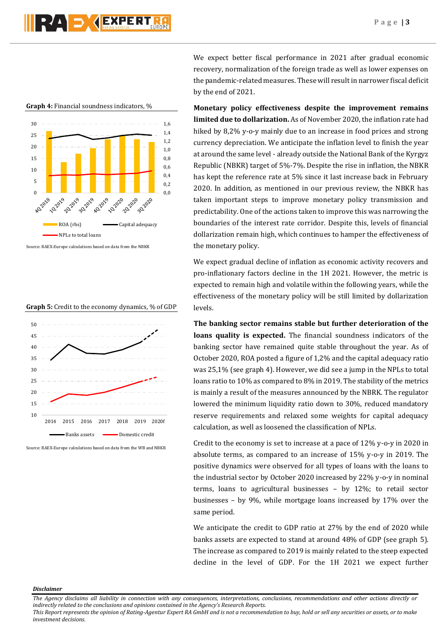

**Graph 4:** Financial soundness indicators, %



Source: RAEX-Europe calculations based on data from the NBKR





Source: RAEX-Europe calculations based on data from the WB and NBKR

We expect better fiscal performance in 2021 after gradual economic recovery, normalization of the foreign trade as well as lower expenses on the pandemic-related measures. These will result in narrower fiscal deficit by the end of 2021.

**Monetary policy effectiveness despite the improvement remains limited due to dollarization.** As of November 2020, the inflation rate had hiked by 8,2% y-o-y mainly due to an increase in food prices and strong currency depreciation. We anticipate the inflation level to finish the year at around the same level - already outside the National Bank of the Kyrgyz Republic (NBKR) target of 5%-7%. Despite the rise in inflation, the NBKR has kept the reference rate at 5% since it last increase back in February 2020. In addition, as mentioned in our previous review, the NBKR has taken important steps to improve monetary policy transmission and predictability. One of the actions taken to improve this was narrowing the boundaries of the interest rate corridor. Despite this, levels of financial dollarization remain high, which continues to hamper the effectiveness of the monetary policy.

We expect gradual decline of inflation as economic activity recovers and pro-inflationary factors decline in the 1H 2021. However, the metric is expected to remain high and volatile within the following years, while the effectiveness of the monetary policy will be still limited by dollarization levels.

**The banking sector remains stable but further deterioration of the loans quality is expected.** The financial soundness indicators of the banking sector have remained quite stable throughout the year. As of October 2020, ROA posted a figure of 1,2% and the capital adequacy ratio was 25,1% (see graph 4). However, we did see a jump in the NPLs to total loans ratio to 10% as compared to 8% in 2019. The stability of the metrics is mainly a result of the measures announced by the NBRK. The regulator lowered the minimum liquidity ratio down to 30%, reduced mandatory reserve requirements and relaxed some weights for capital adequacy calculation, as well as loosened the classification of NPLs.

Credit to the economy is set to increase at a pace of 12% y-o-y in 2020 in absolute terms, as compared to an increase of 15% y-o-y in 2019. The positive dynamics were observed for all types of loans with the loans to the industrial sector by October 2020 increased by 22% y-o-y in nominal terms, loans to agricultural businesses – by 12%; to retail sector businesses – by 9%, while mortgage loans increased by 17% over the same period.

We anticipate the credit to GDP ratio at 27% by the end of 2020 while banks assets are expected to stand at around 48% of GDP (see graph 5). The increase as compared to 2019 is mainly related to the steep expected decline in the level of GDP. For the 1H 2021 we expect further

*Disclaimer* 

*The Agency disclaims all liability in connection with any consequences, interpretations, conclusions, recommendations and other actions directly or indirectly related to the conclusions and opinions contained in the Agency's Research Reports.*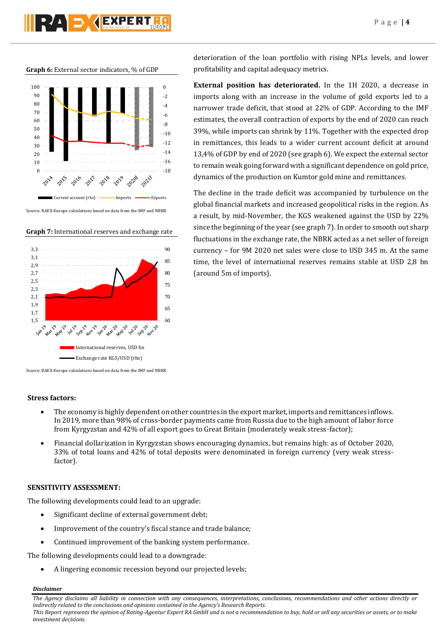**SY AEXPERT** 

**Graph 6:** External sector indicators, % of GDP



**Graph 7:** International reserves and exchange rate



Source: RAEX-Europe calculations based on data from the IMF and NBKR

# **Stress factors:**

- The economy is highly dependent on other countries in the export market, imports and remittances inflows. In 2019, more than 98% of cross-border payments came from Russia due to the high amount of labor force from Kyrgyzstan and 42% of all export goes to Great Britain (moderately weak stress-factor);
- Financial dollarization in Kyrgyzstan shows encouraging dynamics, but remains high: as of October 2020, 33% of total loans and 42% of total deposits were denominated in foreign currency (very weak stressfactor).

# **SENSITIVITY ASSESSMENT:**

The following developments could lead to an upgrade:

- Significant decline of external government debt;
- Improvement of the country's fiscal stance and trade balance;
- Continued improvement of the banking system performance.

The following developments could lead to a downgrade:

A lingering economic recession beyond our projected levels;

*Disclaimer* 

*The Agency disclaims all liability in connection with any consequences, interpretations, conclusions, recommendations and other actions directly or indirectly related to the conclusions and opinions contained in the Agency's Research Reports.*

*This Report represents the opinion of Rating-Agentur Expert RA GmbH and is not a recommendation to buy, hold or sell any securities or assets, or to make investment decisions.*

deterioration of the loan portfolio with rising NPLs levels, and lower profitability and capital adequacy metrics.

**External position has deteriorated.** In the 1H 2020, a decrease in imports along with an increase in the volume of gold exports led to a narrower trade deficit, that stood at 22% of GDP. According to the IMF estimates, the overall contraction of exports by the end of 2020 can reach 39%, while imports can shrink by 11%. Together with the expected drop in remittances, this leads to a wider current account deficit at around 13,4% of GDP by end of 2020 (see graph 6). We expect the external sector to remain weak going forward with a significant dependence on gold price, dynamics of the production on Kumtor gold mine and remittances.

The decline in the trade deficit was accompanied by turbulence on the global financial markets and increased geopolitical risks in the region. As a result, by mid-November, the KGS weakened against the USD by 22% since the beginning of the year (see graph 7). In order to smooth out sharp fluctuations in the exchange rate, the NBRK acted as a net seller of foreign currency – for 9M 2020 net sales were close to USD 345 m. At the same time, the level of international reserves remains stable at USD 2,8 bn (around 5m of imports).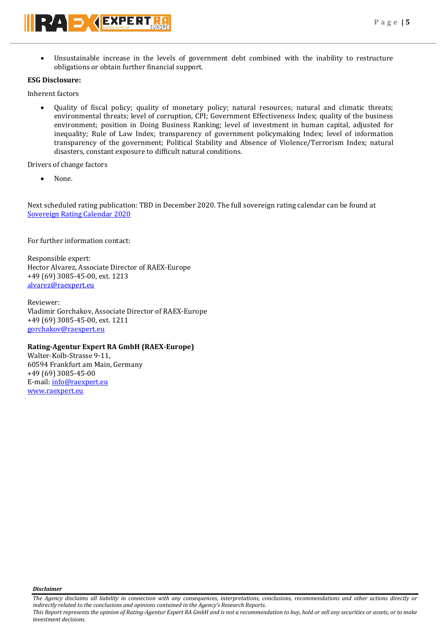Unsustainable increase in the levels of government debt combined with the inability to restructure obligations or obtain further financial support.

# **ESG Disclosure:**

Inherent factors

 Quality of fiscal policy; quality of monetary policy; natural resources; natural and climatic threats; environmental threats; level of corruption, CPI; Government Effectiveness Index; quality of the business environment; position in Doing Business Ranking; level of investment in human capital, adjusted for inequality; Rule of Law Index; transparency of government policymaking Index; level of information transparency of the government; Political Stability and Absence of Violence/Terrorism Index; natural disasters, constant exposure to difficult natural conditions.

Drivers of change factors

None.

Next scheduled rating publication: TBD in December 2020. The full sovereign rating calendar can be found at [Sovereign Rating Calendar 2020](https://raexpert.eu/sovereign/#conf-tab-5)

For further information contact:

Responsible expert: Hector Alvarez, Associate Director of RAEX-Europe +49 (69) 3085-45-00, ext. 1213 [alvarez@raexpert.eu](mailto:alvarez@raexpert.eu)

Reviewer: Vladimir Gorchakov, Associate Director of RAEX-Europe +49 (69) 3085-45-00, ext. 1211 [gorchakov@raexpert.eu](mailto:gorchakov@raexpert.eu)

# **Rating-Agentur Expert RA GmbH (RAEX-Europe)**

Walter-Kolb-Strasse 9-11, 60594 Frankfurt am Main, Germany +49 (69) 3085-45-00 E-mail[: info@raexpert.eu](mailto:info@raexpert.eu) [www.raexpert.eu](http://raexpert.eu/)

*Disclaimer* 

*The Agency disclaims all liability in connection with any consequences, interpretations, conclusions, recommendations and other actions directly or indirectly related to the conclusions and opinions contained in the Agency's Research Reports.*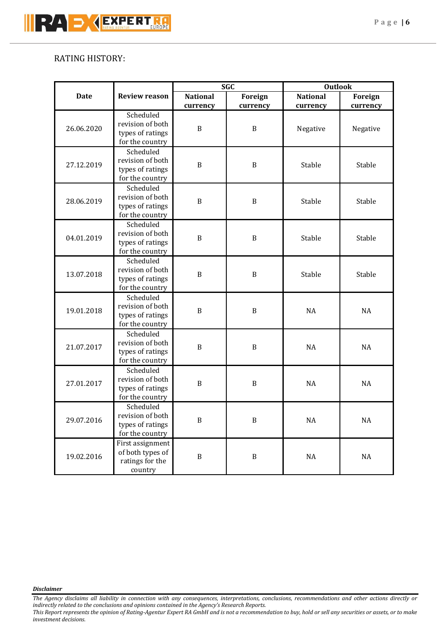# RATING HISTORY:

|             |                                                                      | <b>SGC</b>      |               | <b>Outlook</b>         |                      |
|-------------|----------------------------------------------------------------------|-----------------|---------------|------------------------|----------------------|
| <b>Date</b> | <b>Review reason</b>                                                 | <b>National</b> | Foreign       | <b>National</b>        | Foreign              |
| 26.06.2020  | Scheduled<br>revision of both<br>types of ratings<br>for the country | currency<br>B   | currency<br>B | currency<br>Negative   | currency<br>Negative |
| 27.12.2019  | Scheduled<br>revision of both<br>types of ratings<br>for the country | $\, {\bf B}$    | $\, {\bf B}$  | Stable                 | Stable               |
| 28.06.2019  | Scheduled<br>revision of both<br>types of ratings<br>for the country | B               | $\, {\bf B}$  | Stable                 | Stable               |
| 04.01.2019  | Scheduled<br>revision of both<br>types of ratings<br>for the country | $\, {\bf B}$    | $\, {\bf B}$  | Stable                 | Stable               |
| 13.07.2018  | Scheduled<br>revision of both<br>types of ratings<br>for the country | B               | B             | Stable                 | Stable               |
| 19.01.2018  | Scheduled<br>revision of both<br>types of ratings<br>for the country | $\, {\bf B}$    | B             | <b>NA</b>              | NA                   |
| 21.07.2017  | Scheduled<br>revision of both<br>types of ratings<br>for the country | B               | B             | <b>NA</b>              | <b>NA</b>            |
| 27.01.2017  | Scheduled<br>revision of both<br>types of ratings<br>for the country | $\mathbf B$     | $\, {\bf B}$  | <b>NA</b>              | <b>NA</b>            |
| 29.07.2016  | Scheduled<br>revision of both<br>types of ratings<br>for the country | $\, {\bf B}$    | $\, {\bf B}$  | $\mathsf{N}\mathsf{A}$ | $\rm NA$             |
| 19.02.2016  | First assignment<br>of both types of<br>ratings for the<br>country   | $\, {\bf B}$    | $\, {\bf B}$  | $\rm NA$               | $\rm NA$             |

*Disclaimer* 

*The Agency disclaims all liability in connection with any consequences, interpretations, conclusions, recommendations and other actions directly or indirectly related to the conclusions and opinions contained in the Agency's Research Reports.*